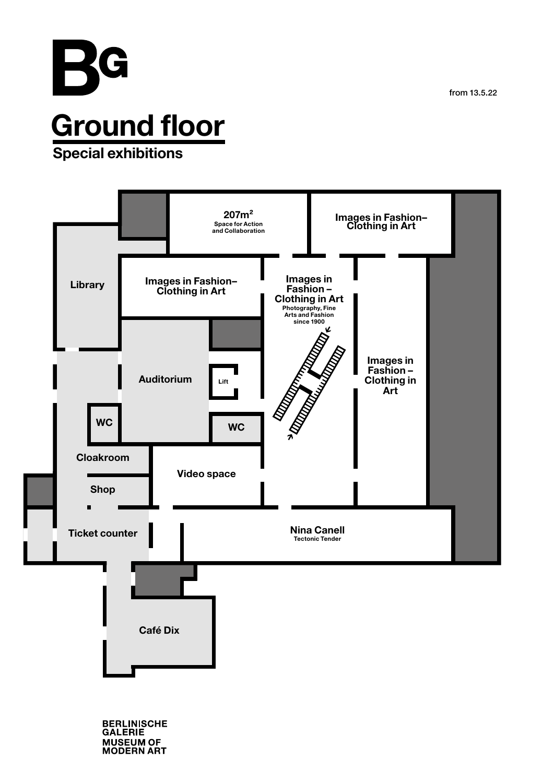from 13.5.22



**BERLINISCHE**<br>GALERIE MUSEUM OF<br>MODERN ART